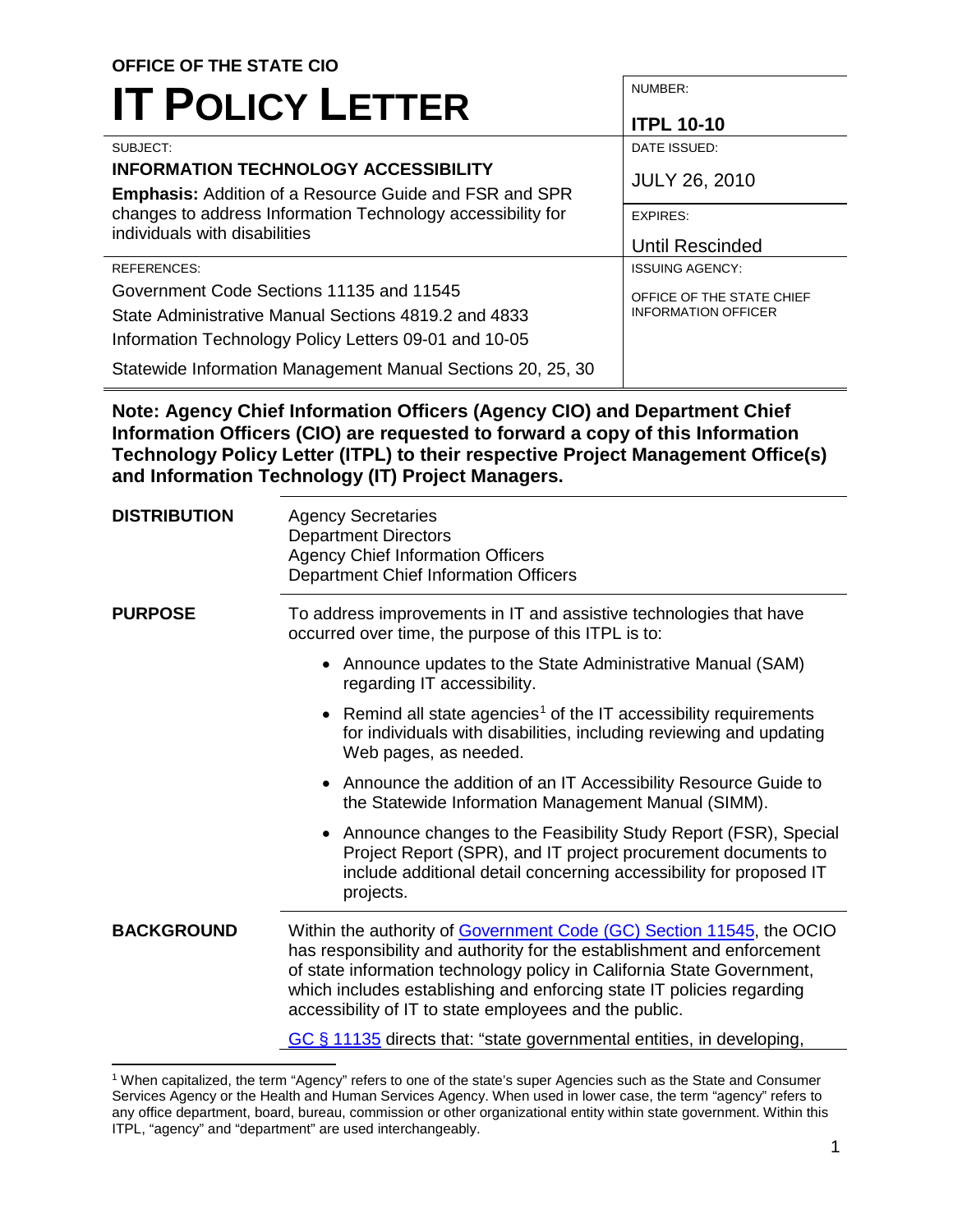#### **OFFICE OF THE STATE CIO IT POLICY LETTER**  NUMBER: **ITPL 10-10**  SUBJECT: **INFORMATION TECHNOLOGY ACCESSIBILITY Emphasis:** Addition of a Resource Guide and FSR and SPR changes to address Information Technology accessibility for individuals with disabilities DATE ISSUED: JULY 26, 2010 EXPIRES: Until Rescinded REFERENCES: Government Code Sections 11135 and 11545 State Administrative Manual Sections 4819.2 and 4833 Information Technology Policy Letters 09-01 and 10-05 Statewide Information Management Manual Sections 20, 25, 30 ISSUING AGENCY: OFFICE OF THE STATE CHIEF INFORMATION OFFICER

 **Note: Agency Chief Information Officers (Agency CIO) and Department Chief Information Officers (CIO) are requested to forward a copy of this Information Technology Policy Letter (ITPL) to their respective Project Management Office(s) and Information Technology (IT) Project Managers.** 

| <b>DISTRIBUTION</b>                                                   | <b>Agency Secretaries</b><br><b>Department Directors</b><br><b>Agency Chief Information Officers</b><br>Department Chief Information Officers                                                                                                                                                                                                               |  |  |  |  |
|-----------------------------------------------------------------------|-------------------------------------------------------------------------------------------------------------------------------------------------------------------------------------------------------------------------------------------------------------------------------------------------------------------------------------------------------------|--|--|--|--|
| <b>PURPOSE</b>                                                        | To address improvements in IT and assistive technologies that have<br>occurred over time, the purpose of this ITPL is to:                                                                                                                                                                                                                                   |  |  |  |  |
|                                                                       | • Announce updates to the State Administrative Manual (SAM)<br>regarding IT accessibility.                                                                                                                                                                                                                                                                  |  |  |  |  |
|                                                                       | Remind all state agencies <sup>1</sup> of the IT accessibility requirements<br>for individuals with disabilities, including reviewing and updating<br>Web pages, as needed.                                                                                                                                                                                 |  |  |  |  |
|                                                                       | • Announce the addition of an IT Accessibility Resource Guide to<br>the Statewide Information Management Manual (SIMM).                                                                                                                                                                                                                                     |  |  |  |  |
|                                                                       | • Announce changes to the Feasibility Study Report (FSR), Special<br>Project Report (SPR), and IT project procurement documents to<br>include additional detail concerning accessibility for proposed IT<br>projects.                                                                                                                                       |  |  |  |  |
| <b>BACKGROUND</b>                                                     | Within the authority of Government Code (GC) Section 11545, the OCIO<br>has responsibility and authority for the establishment and enforcement<br>of state information technology policy in California State Government,<br>which includes establishing and enforcing state IT policies regarding<br>accessibility of IT to state employees and the public. |  |  |  |  |
| GC § 11135 directs that: "state governmental entities, in developing, |                                                                                                                                                                                                                                                                                                                                                             |  |  |  |  |

<span id="page-0-0"></span> any office department, board, bureau, commission or other organizational entity within state government. Within this ITPL, "agency" and "department" are used interchangeably.<br>1 1 When capitalized, the term "Agency" refers to one of the state's super Agencies such as the State and Consumer Services Agency or the Health and Human Services Agency. When used in lower case, the term "agency" refers to

 $\overline{a}$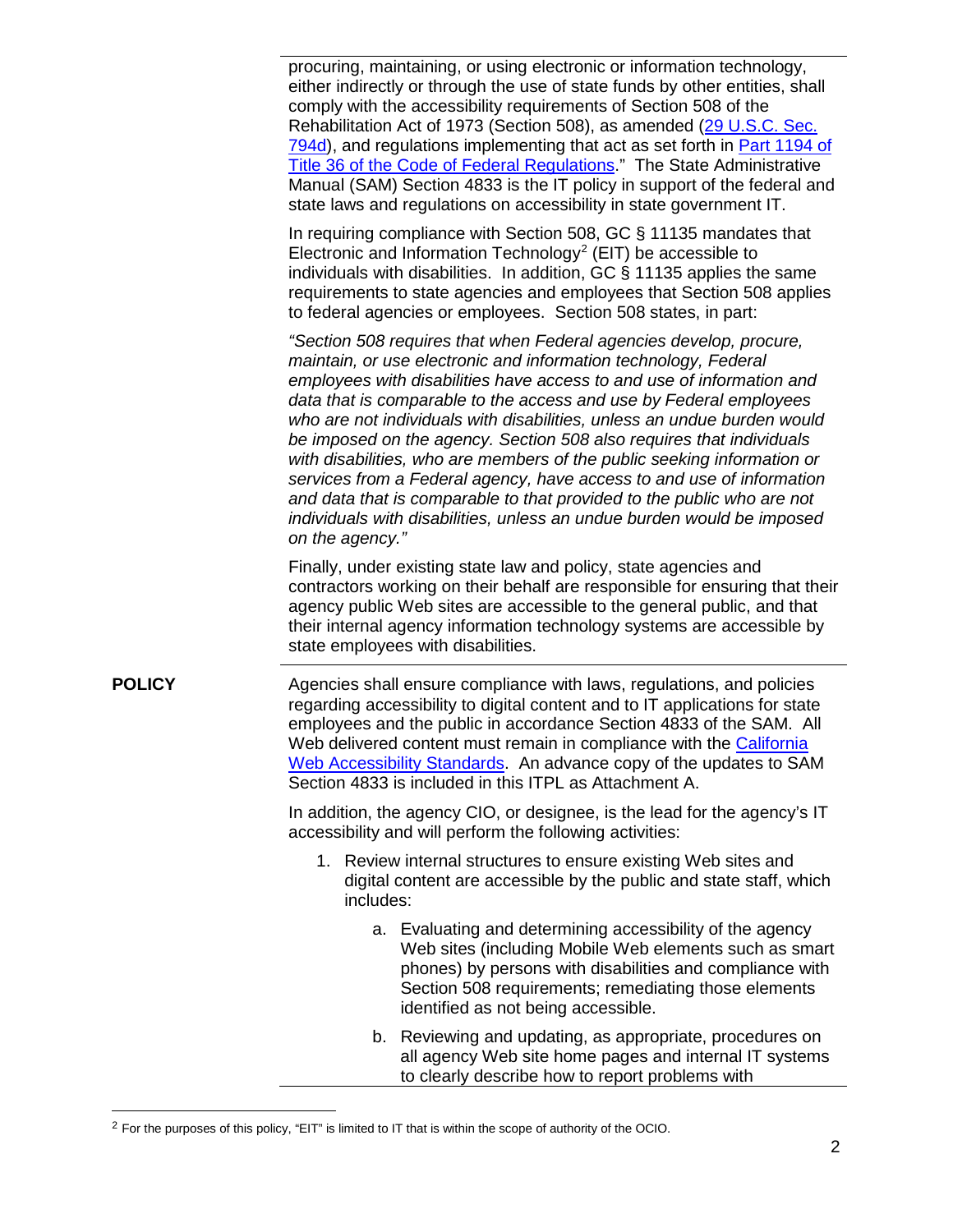either indirectly or through the use of state funds by other entities, shall [794d\)](https://www.section508.gov/index.php), and regulations implementing that act as set forth in [Part 1194 of](https://www.section508.gov/index.php) [Title 36 of the Code of Federal Regulations](https://www.section508.gov/index.php)." The State Administrative Manual (SAM) Section 4833 is the IT policy in support of the federal and procuring, maintaining, or using electronic or information technology, comply with the accessibility requirements of Section 508 of the Rehabilitation Act of 1973 (Section 508), as amended ([29 U.S.C. Sec](https://www.section508.gov/index.php). state laws and regulations on accessibility in state government IT.

 In requiring compliance with Section 508, GC § 11135 mandates that Electronic and Information Technology<sup>2</sup> (EIT) be accessible to individuals with disabilities. In addition, GC § 11135 applies the same to federal agencies or employees. Section 508 states, in part: requirements to state agencies and employees that Section 508 applies

 *"Section 508 requires that when Federal agencies develop, procure, maintain, or use electronic and information technology, Federal employees with disabilities have access to and use of information and data that is comparable to the access and use by Federal employees who are not individuals with disabilities, unless an undue burden would be imposed on the agency. Section 508 also requires that individuals with disabilities, who are members of the public seeking information or services from a Federal agency, have access to and use of information and data that is comparable to that provided to the public who are not individuals with disabilities, unless an undue burden would be imposed on the agency."* 

 agency public Web sites are accessible to the general public, and that state employees with disabilities. Finally, under existing state law and policy, state agencies and contractors working on their behalf are responsible for ensuring that their their internal agency information technology systems are accessible by

 regarding accessibility to digital content and to IT applications for state employees and the public in accordance Section 4833 of the SAM. All Web delivered content must remain in compliance with the [California](https://webstandards.ca.gov/) Section 4833 is included in this ITPL as Attachment A. **POLICY** Agencies shall ensure compliance with laws, regulations, and policies [Web Accessibility Standards](https://webstandards.ca.gov/). An advance copy of the updates to SAM

> In addition, the agency CIO, or designee, is the lead for the agency's IT accessibility and will perform the following activities:

- 1. Review internal structures to ensure existing Web sites and includes: includes:<br>a. Evaluating and determining accessibility of the agency digital content are accessible by the public and state staff, which
	- Web sites (including Mobile Web elements such as smart identified as not being accessible. phones) by persons with disabilities and compliance with Section 508 requirements; remediating those elements
	- b. Reviewing and updating, as appropriate, procedures on all agency Web site home pages and internal IT systems to clearly describe how to report problems with

 $\ddot{\phantom{a}}$ 

<span id="page-1-0"></span><sup>&</sup>lt;sup>2</sup> For the purposes of this policy, "EIT" is limited to IT that is within the scope of authority of the OCIO.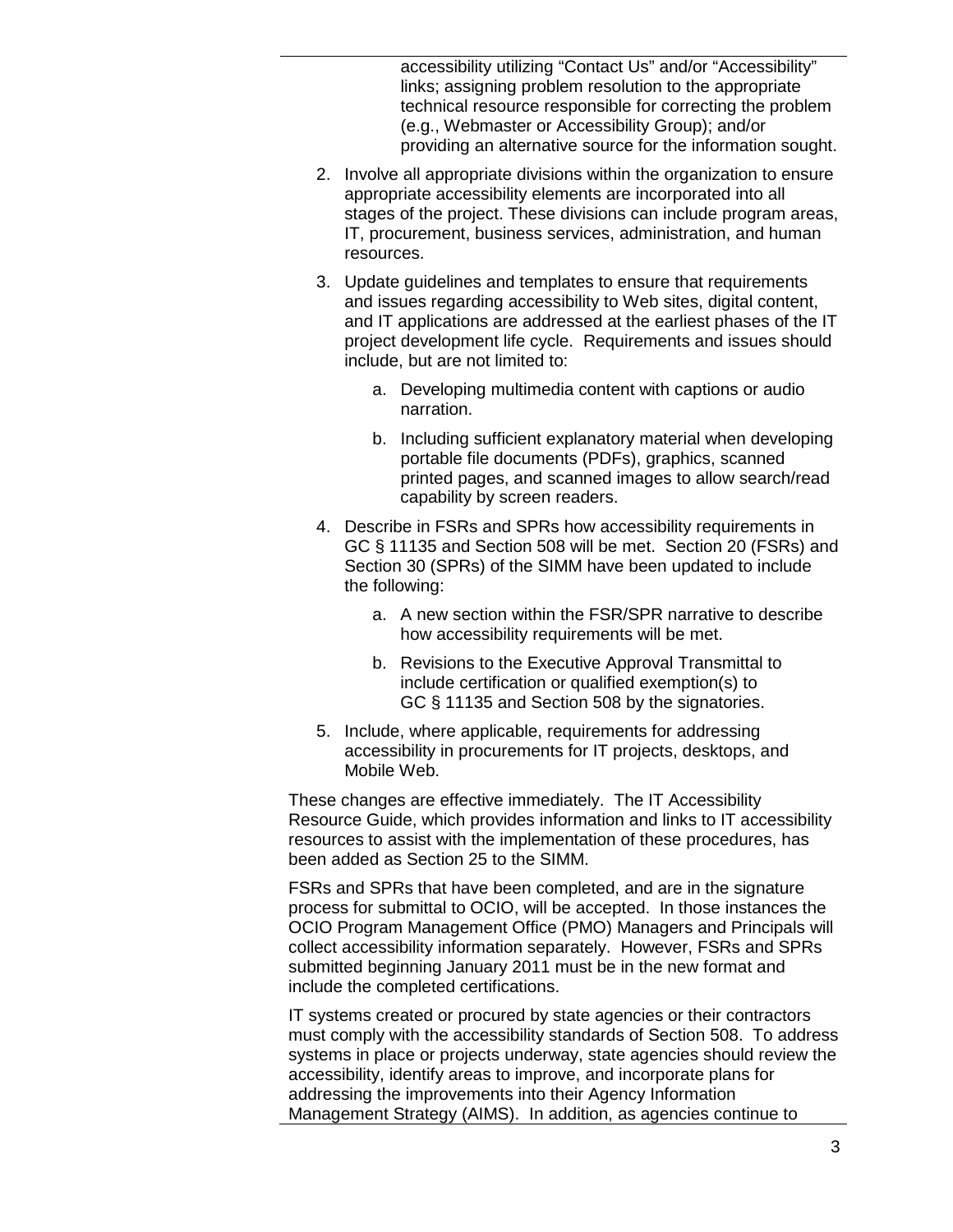technical resource responsible for correcting the problem accessibility utilizing "Contact Us" and/or "Accessibility" links; assigning problem resolution to the appropriate (e.g., Webmaster or Accessibility Group); and/or providing an alternative source for the information sought.

- stages of the project. These divisions can include program areas, resources. 2. Involve all appropriate divisions within the organization to ensure appropriate accessibility elements are incorporated into all IT, procurement, business services, administration, and human
- and IT applications are addressed at the earliest phases of the IT include, but are not limited to: 3. Update guidelines and templates to ensure that requirements and issues regarding accessibility to Web sites, digital content, project development life cycle. Requirements and issues should
	- a. Developing multimedia content with captions or audio narration.
	- b. Including sufficient explanatory material when developing portable file documents (PDFs), graphics, scanned printed pages, and scanned images to allow search/read capability by screen readers.
- 4. Describe in FSRs and SPRs how accessibility requirements in GC § 11135 and Section 508 will be met. Section 20 (FSRs) and Section 30 (SPRs) of the SIMM have been updated to include the following:
	- a. A new section within the FSR/SPR narrative to describe how accessibility requirements will be met.
	- b. Revisions to the Executive Approval Transmittal to include certification or qualified exemption(s) to GC § 11135 and Section 508 by the signatories.
- accessibility in procurements for IT projects, desktops, and Mobile Web. 5. Include, where applicable, requirements for addressing

These changes are effective immediately. The IT Accessibility Resource Guide, which provides information and links to IT accessibility resources to assist with the implementation of these procedures, has been added as Section 25 to the SIMM.

 process for submittal to OCIO, will be accepted. In those instances the FSRs and SPRs that have been completed, and are in the signature OCIO Program Management Office (PMO) Managers and Principals will collect accessibility information separately. However, FSRs and SPRs submitted beginning January 2011 must be in the new format and include the completed certifications.

 must comply with the accessibility standards of Section 508. To address IT systems created or procured by state agencies or their contractors systems in place or projects underway, state agencies should review the accessibility, identify areas to improve, and incorporate plans for addressing the improvements into their Agency Information Management Strategy (AIMS). In addition, as agencies continue to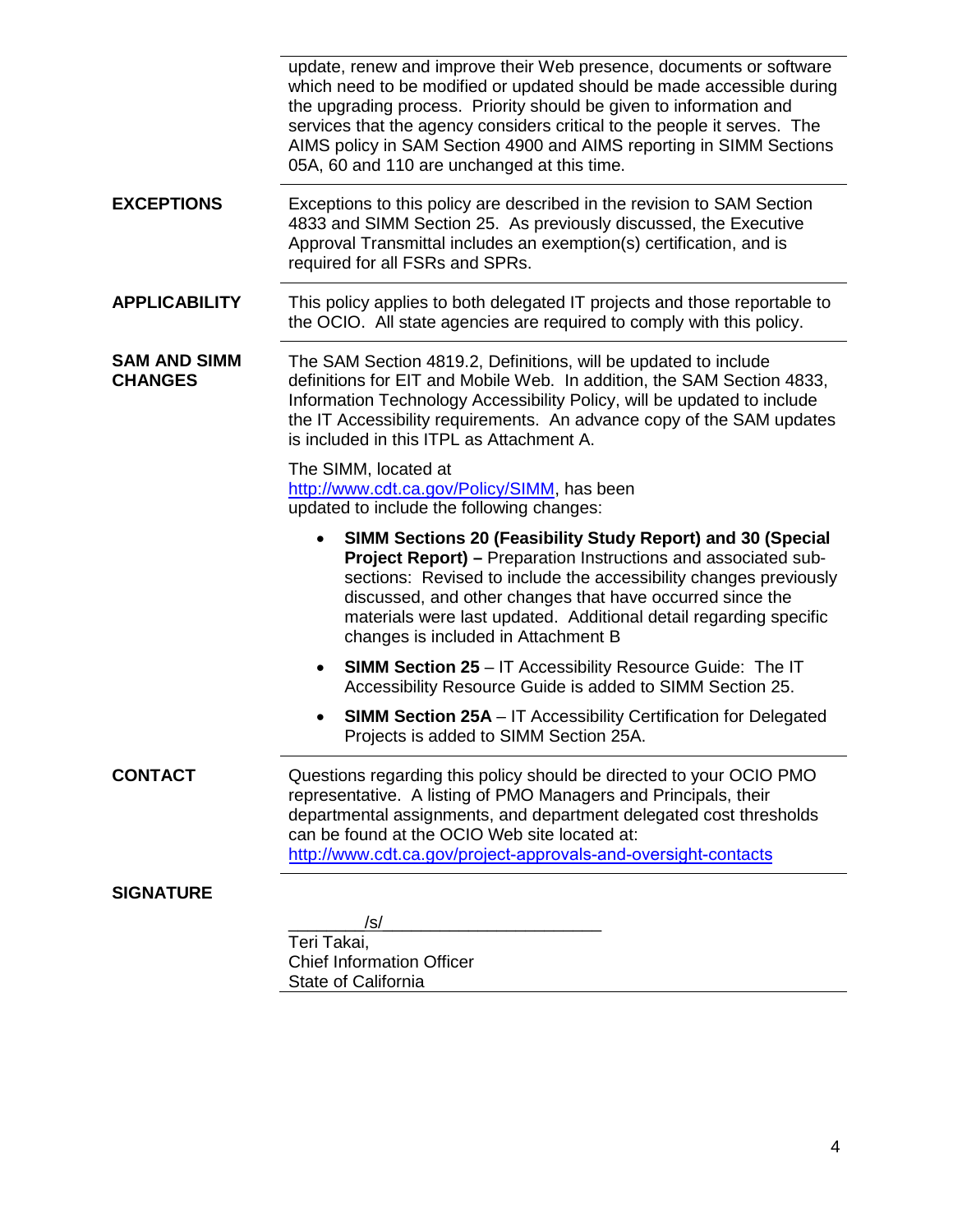the upgrading process. Priority should be given to information and services that the agency considers critical to the people it serves. The 05A, 60 and 110 are unchanged at this time. update, renew and improve their Web presence, documents or software which need to be modified or updated should be made accessible during AIMS policy in SAM Section 4900 and AIMS reporting in SIMM Sections **EXCEPTIONS** Exceptions to this policy are described in the revision to SAM Section 4833 and SIMM Section 25. As previously discussed, the Executive Approval Transmittal includes an exemption(s) certification, and is required for all FSRs and SPRs. **APPLICABILITY** This policy applies to both delegated IT projects and those reportable to the OCIO. All state agencies are required to comply with this policy. is included in this ITPL as Attachment A. updated to include the following changes:  • **SIMM Sections 20 (Feasibility Study Report) and 30 (Special** discussed, and other changes that have occurred since the • **SIMM Section 25** – IT Accessibility Resource Guide: The IT • **SIMM Section 25A** – IT Accessibility Certification for Delegated  Projects is added to SIMM Section 25A.  $\sqrt{s/2}$ **SAM AND SIMM CHANGES**  The SAM Section 4819.2, Definitions, will be updated to include definitions for EIT and Mobile Web. In addition, the SAM Section 4833, Information Technology Accessibility Policy, will be updated to include the IT Accessibility requirements. An advance copy of the SAM updates The SIMM, located at http://www.cdt.ca.gov/Policy/SIMM, has been **Project Report) – Preparation Instructions and associated sub**sections: Revised to include the accessibility changes previously materials were last updated. Additional detail regarding specific changes is included in Attachment B Accessibility Resource Guide is added to SIMM Section 25. **CONTACT**  representative. A listing of PMO Managers and Principals, their can be found at the OCIO Web site located at: Questions regarding this policy should be directed to your OCIO PMO departmental assignments, and department delegated cost thresholds http://www.cdt.ca.gov/project-approvals-and-oversight-contacts **SIGNATURE**  Teri Takai,

Chief Information Officer State of California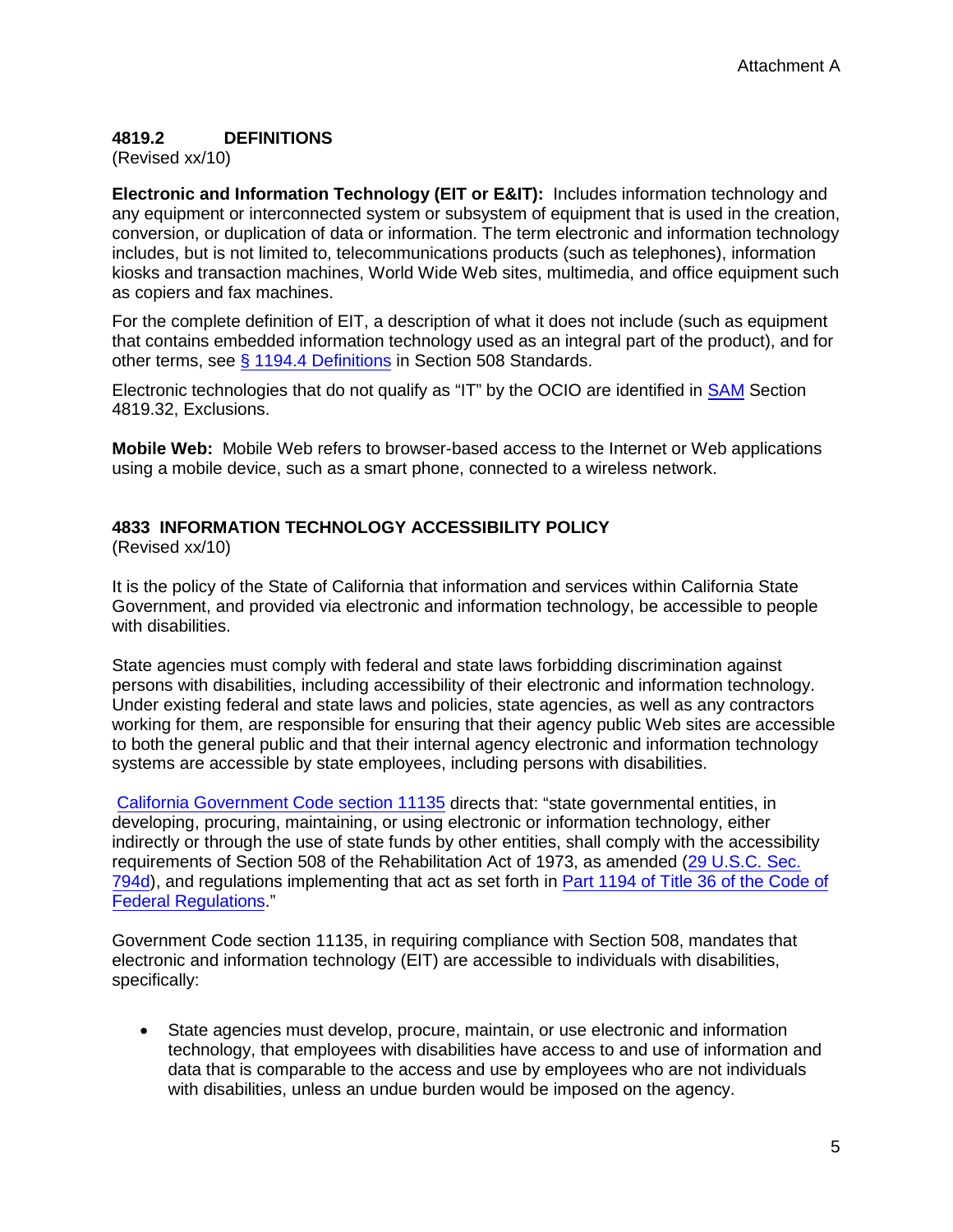## **4819.2 DEFINITIONS**

(Revised xx/10)

 conversion, or duplication of data or information. The term electronic and information technology includes, but is not limited to, telecommunications products (such as telephones), information kiosks and transaction machines, World Wide Web sites, multimedia, and office equipment such **Electronic and Information Technology (EIT or E&IT):** Includes information technology and any equipment or interconnected system or subsystem of equipment that is used in the creation, as copiers and fax machines.

 that contains embedded information technology used as an integral part of the product), and for For the complete definition of EIT, a description of what it does not include (such as equipment other terms, see [§ 1194.4 Definitions](https://www.section508.gov/index.php) in Section 508 Standards.

Electronic technologies that do not qualify as "IT" by the OCIO are identified in **SAM** Section 4819.32, Exclusions.

**Mobile Web:** Mobile Web refers to browser-based access to the Internet or Web applications using a mobile device, such as a smart phone, connected to a wireless network.

### **4833 INFORMATION TECHNOLOGY ACCESSIBILITY POLICY**

(Revised xx/10)

It is the policy of the State of California that information and services within California State Government, and provided via electronic and information technology, be accessible to people with disabilities.

 working for them, are responsible for ensuring that their agency public Web sites are accessible State agencies must comply with federal and state laws forbidding discrimination against persons with disabilities, including accessibility of their electronic and information technology. Under existing federal and state laws and policies, state agencies, as well as any contractors to both the general public and that their internal agency electronic and information technology systems are accessible by state employees, including persons with disabilities.

[California Government Code section 11135](https://leginfo.legislature.ca.gov/faces/codes_displayText.xhtml?lawCode=GOV&division=7.&title=1.&part=&chapter=18.1.&article=) directs that: "state governmental entities, in indirectly or through the use of state funds by other entities, shall comply with the accessibility [794d](https://www.section508.gov/index.php)), and regulations implementing that act as set forth in [Part 1194 of Title 36 of the Code of](https://www.section508.gov/index.php) developing, procuring, maintaining, or using electronic or information technology, either requirements of Section 508 of the Rehabilitation Act of 1973, as amended [\(29 U.S.C. Sec.](https://www.section508.gov/index.php)  [Federal Regulations.](https://www.section508.gov/index.php)"

 Government Code section 11135, in requiring compliance with Section 508, mandates that electronic and information technology (EIT) are accessible to individuals with disabilities, specifically:

 • State agencies must develop, procure, maintain, or use electronic and information technology, that employees with disabilities have access to and use of information and data that is comparable to the access and use by employees who are not individuals with disabilities, unless an undue burden would be imposed on the agency.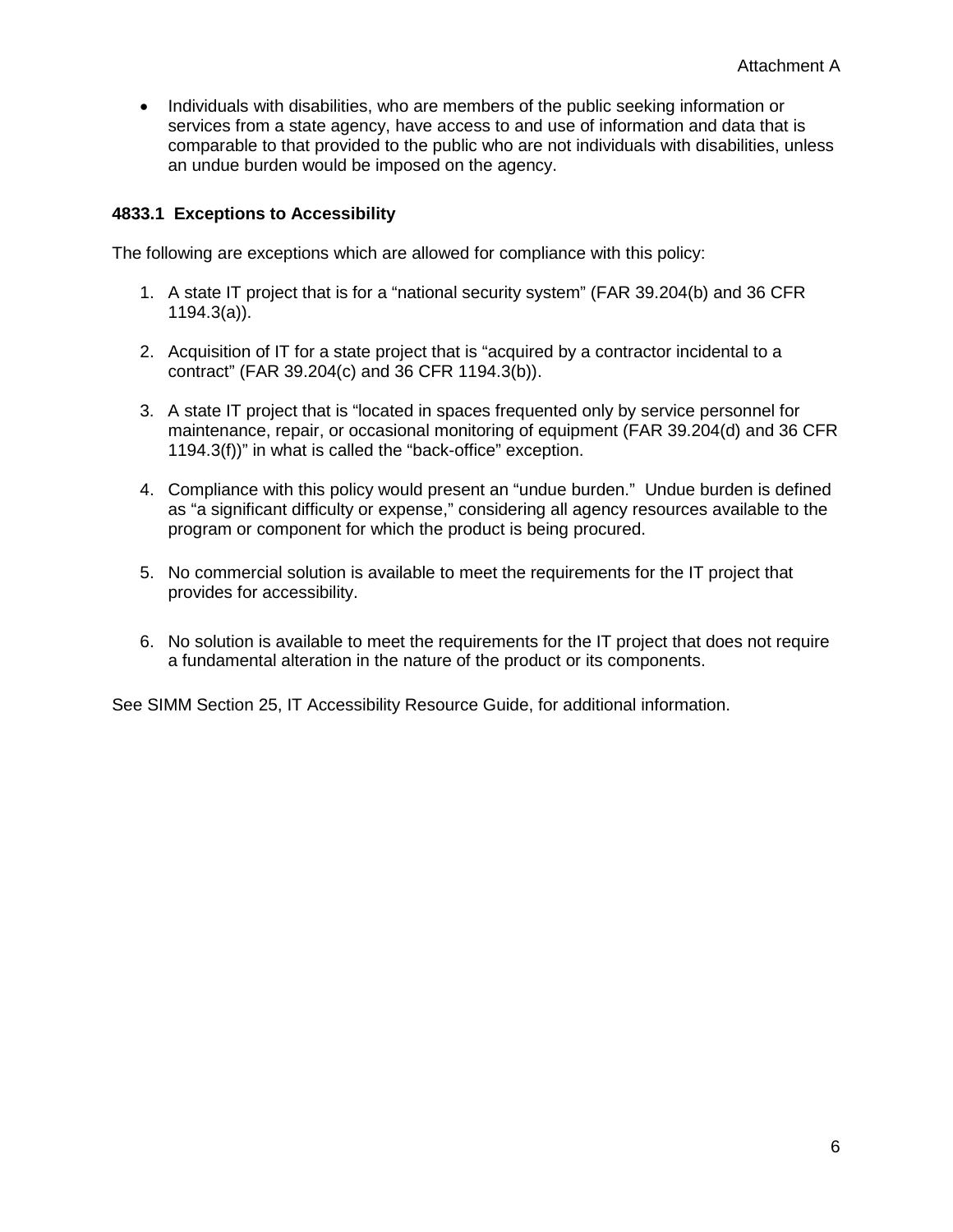services from a state agency, have access to and use of information and data that is • Individuals with disabilities, who are members of the public seeking information or comparable to that provided to the public who are not individuals with disabilities, unless an undue burden would be imposed on the agency.

#### **4833.1 Exceptions to Accessibility**

The following are exceptions which are allowed for compliance with this policy:

- 1. A state IT project that is for a "national security system" (FAR 39.204(b) and 36 CFR 1194.3(a)).
- 2. Acquisition of IT for a state project that is "acquired by a contractor incidental to a contract" (FAR 39.204(c) and 36 CFR 1194.3(b)).
- 3. A state IT project that is "located in spaces frequented only by service personnel for maintenance, repair, or occasional monitoring of equipment (FAR 39.204(d) and 36 CFR 1194.3(f))" in what is called the "back-office" exception.
- 4. Compliance with this policy would present an "undue burden." Undue burden is defined as "a significant difficulty or expense," considering all agency resources available to the program or component for which the product is being procured.
- 5. No commercial solution is available to meet the requirements for the IT project that provides for accessibility.
- 6. No solution is available to meet the requirements for the IT project that does not require a fundamental alteration in the nature of the product or its components.

See SIMM Section 25, IT Accessibility Resource Guide, for additional information.